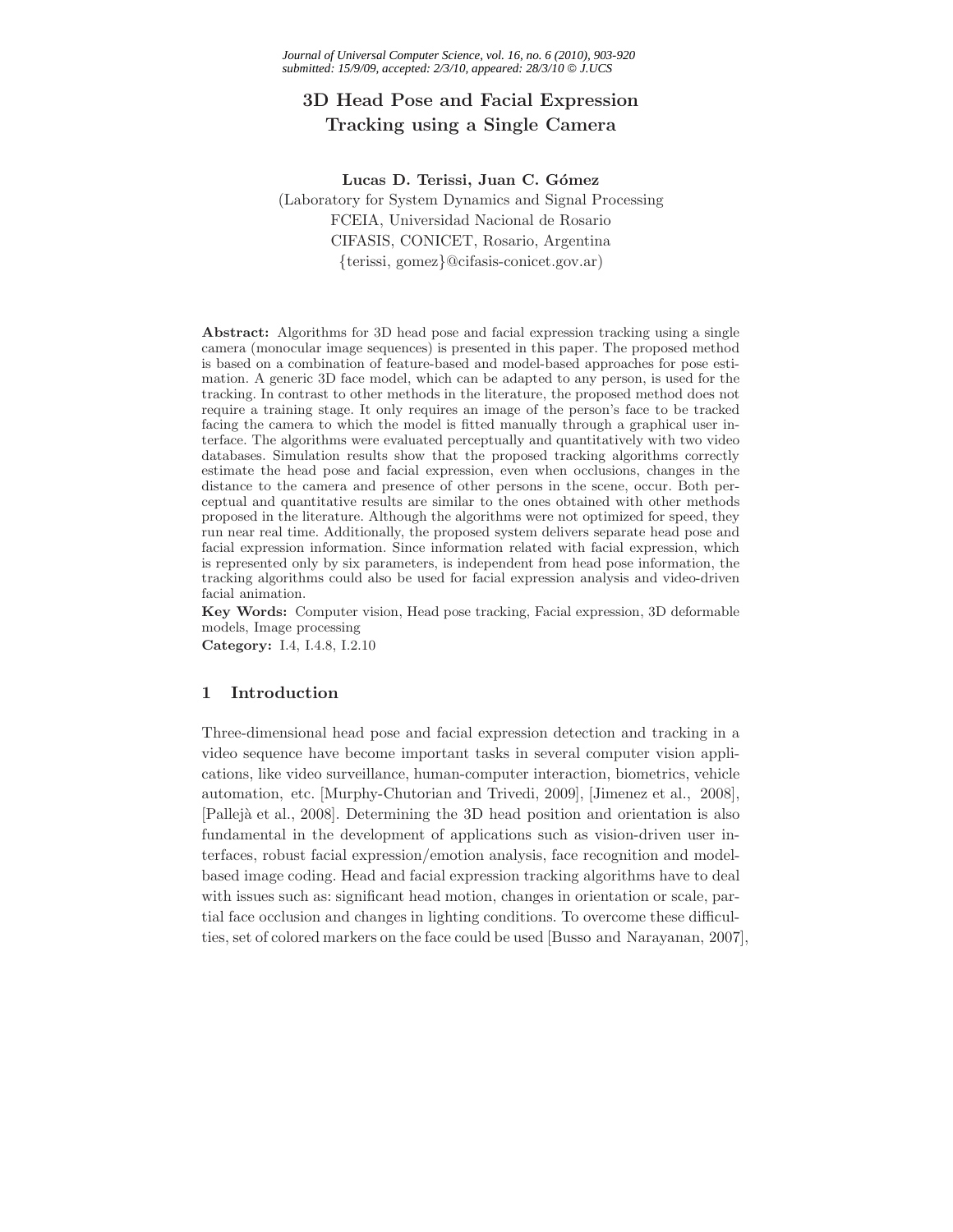# **3D Head Pose and Facial Expression Tracking using a Single Camera**

Lucas D. Terissi, Juan C. Gómez (Laboratory for System Dynamics and Signal Processing FCEIA, Universidad Nacional de Rosario CIFASIS, CONICET, Rosario, Argentina {terissi, gomez}@cifasis-conicet.gov.ar)

**Abstract:** Algorithms for 3D head pose and facial expression tracking using a single camera (monocular image sequences) is presented in this paper. The proposed method is based on a combination of feature-based and model-based approaches for pose estimation. A generic 3D face model, which can be adapted to any person, is used for the tracking. In contrast to other methods in the literature, the proposed method does not require a training stage. It only requires an image of the person's face to be tracked facing the camera to which the model is fitted manually through a graphical user interface. The algorithms were evaluated perceptually and quantitatively with two video databases. Simulation results show that the proposed tracking algorithms correctly estimate the head pose and facial expression, even when occlusions, changes in the distance to the camera and presence of other persons in the scene, occur. Both perceptual and quantitative results are similar to the ones obtained with other methods proposed in the literature. Although the algorithms were not optimized for speed, they run near real time. Additionally, the proposed system delivers separate head pose and facial expression information. Since information related with facial expression, which is represented only by six parameters, is independent from head pose information, the tracking algorithms could also be used for facial expression analysis and video-driven facial animation.

**Key Words:** Computer vision, Head pose tracking, Facial expression, 3D deformable models, Image processing

**Category:** I.4, I.4.8, I.2.10

## **1 Introduction**

Three-dimensional head pose and facial expression detection and tracking in a video sequence have become important tasks in several computer vision applications, like video surveillance, human-computer interaction, biometrics, vehicle automation, etc. [Murphy-Chutorian and Trivedi, 2009], [Jimenez et al., 2008], [Pallejà et al., 2008]. Determining the 3D head position and orientation is also fundamental in the development of applications such as vision-driven user interfaces, robust facial expression/emotion analysis, face recognition and modelbased image coding. Head and facial expression tracking algorithms have to deal with issues such as: significant head motion, changes in orientation or scale, partial face occlusion and changes in lighting conditions. To overcome these difficulties, set of colored markers on the face could be used [Busso and Narayanan, 2007],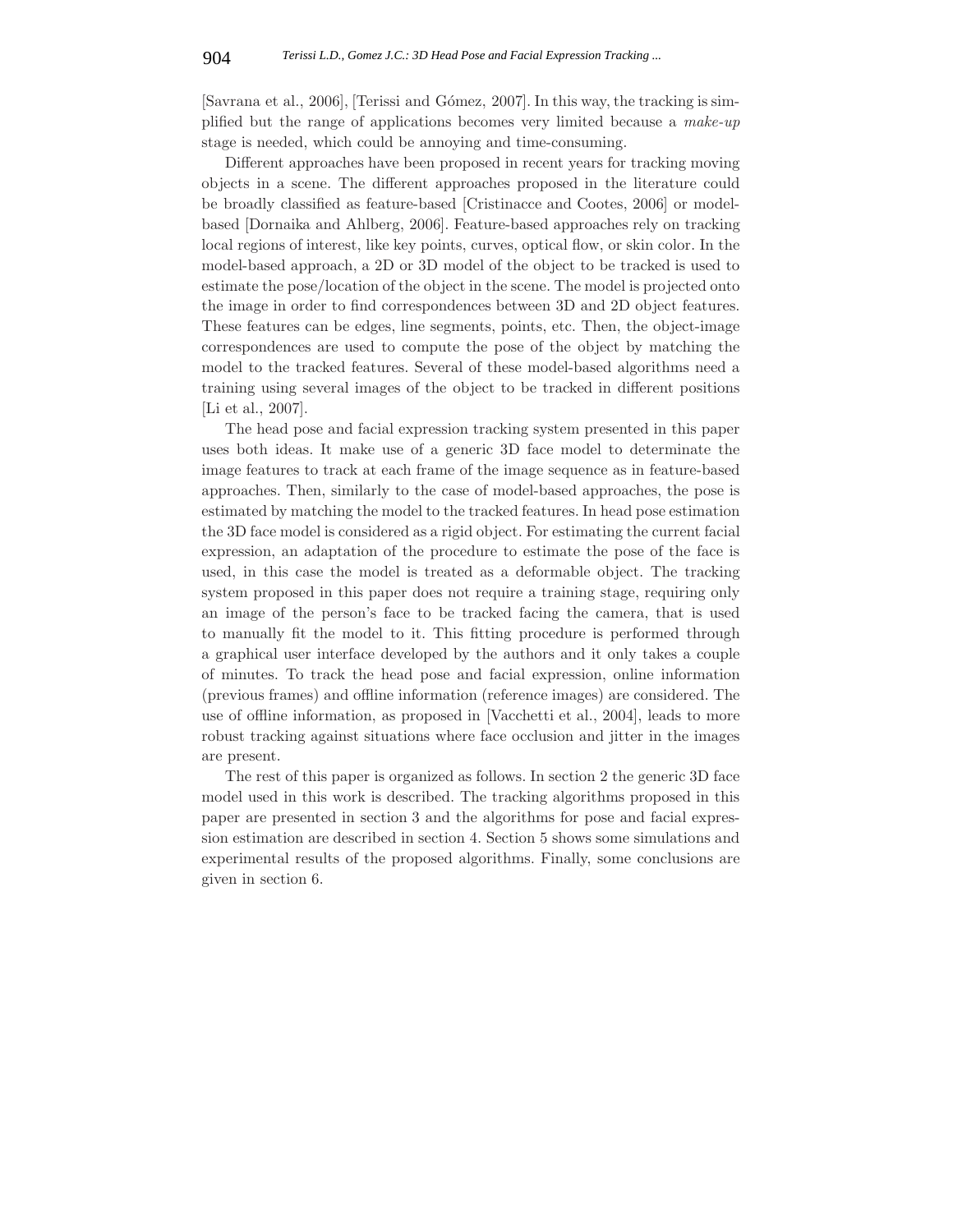[Savrana et al., 2006], [Terissi and G´omez, 2007]. In this way, the tracking is simplified but the range of applications becomes very limited because a *make-up* stage is needed, which could be annoying and time-consuming.

Different approaches have been proposed in recent years for tracking moving objects in a scene. The different approaches proposed in the literature could be broadly classified as feature-based [Cristinacce and Cootes, 2006] or modelbased [Dornaika and Ahlberg, 2006]. Feature-based approaches rely on tracking local regions of interest, like key points, curves, optical flow, or skin color. In the model-based approach, a 2D or 3D model of the object to be tracked is used to estimate the pose/location of the object in the scene. The model is projected onto the image in order to find correspondences between 3D and 2D object features. These features can be edges, line segments, points, etc. Then, the object-image correspondences are used to compute the pose of the object by matching the model to the tracked features. Several of these model-based algorithms need a training using several images of the object to be tracked in different positions [Li et al., 2007].

The head pose and facial expression tracking system presented in this paper uses both ideas. It make use of a generic 3D face model to determinate the image features to track at each frame of the image sequence as in feature-based approaches. Then, similarly to the case of model-based approaches, the pose is estimated by matching the model to the tracked features. In head pose estimation the 3D face model is considered as a rigid object. For estimating the current facial expression, an adaptation of the procedure to estimate the pose of the face is used, in this case the model is treated as a deformable object. The tracking system proposed in this paper does not require a training stage, requiring only an image of the person's face to be tracked facing the camera, that is used to manually fit the model to it. This fitting procedure is performed through a graphical user interface developed by the authors and it only takes a couple of minutes. To track the head pose and facial expression, online information (previous frames) and offline information (reference images) are considered. The use of offline information, as proposed in [Vacchetti et al., 2004], leads to more robust tracking against situations where face occlusion and jitter in the images are present.

The rest of this paper is organized as follows. In section 2 the generic 3D face model used in this work is described. The tracking algorithms proposed in this paper are presented in section 3 and the algorithms for pose and facial expression estimation are described in section 4. Section 5 shows some simulations and experimental results of the proposed algorithms. Finally, some conclusions are given in section 6.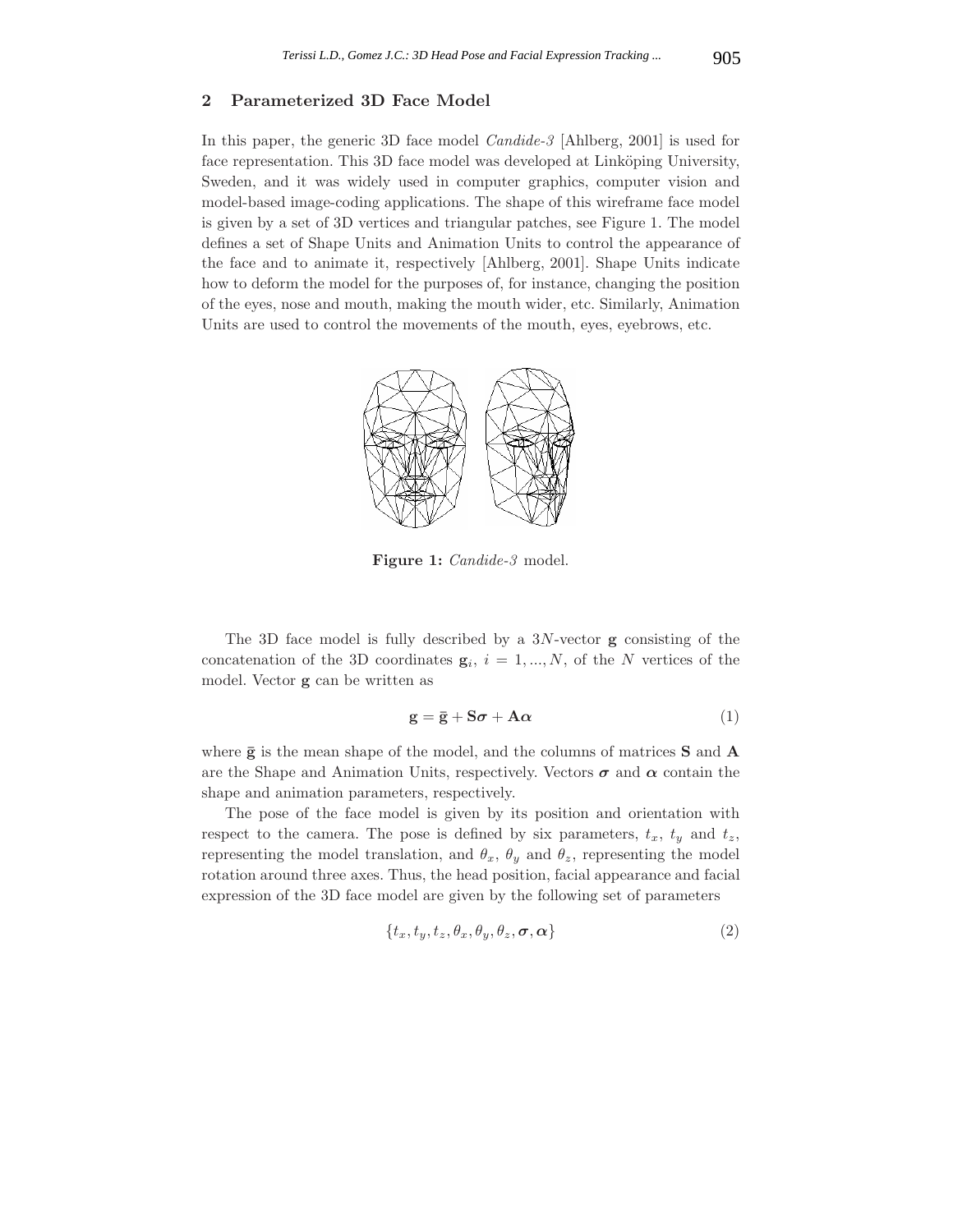## **2 Parameterized 3D Face Model**

In this paper, the generic 3D face model *Candide-3* [Ahlberg, 2001] is used for face representation. This 3D face model was developed at Linköping University, Sweden, and it was widely used in computer graphics, computer vision and model-based image-coding applications. The shape of this wireframe face model is given by a set of 3D vertices and triangular patches, see Figure 1. The model defines a set of Shape Units and Animation Units to control the appearance of the face and to animate it, respectively [Ahlberg, 2001]. Shape Units indicate how to deform the model for the purposes of, for instance, changing the position of the eyes, nose and mouth, making the mouth wider, etc. Similarly, Animation Units are used to control the movements of the mouth, eyes, eyebrows, etc.



**Figure 1:** *Candide-3* model.

The 3D face model is fully described by a 3N-vector **g** consisting of the concatenation of the 3D coordinates  $\mathbf{g}_i$ ,  $i = 1, ..., N$ , of the N vertices of the model. Vector **g** can be written as

$$
\mathbf{g} = \bar{\mathbf{g}} + \mathbf{S}\boldsymbol{\sigma} + \mathbf{A}\boldsymbol{\alpha} \tag{1}
$$

where  $\bar{g}$  is the mean shape of the model, and the columns of matrices **S** and **A** are the Shape and Animation Units, respectively. Vectors  $\sigma$  and  $\alpha$  contain the shape and animation parameters, respectively.

The pose of the face model is given by its position and orientation with respect to the camera. The pose is defined by six parameters,  $t_x$ ,  $t_y$  and  $t_z$ , representing the model translation, and  $\theta_x$ ,  $\theta_y$  and  $\theta_z$ , representing the model rotation around three axes. Thus, the head position, facial appearance and facial expression of the 3D face model are given by the following set of parameters

$$
\{t_x, t_y, t_z, \theta_x, \theta_y, \theta_z, \boldsymbol{\sigma}, \boldsymbol{\alpha}\}\tag{2}
$$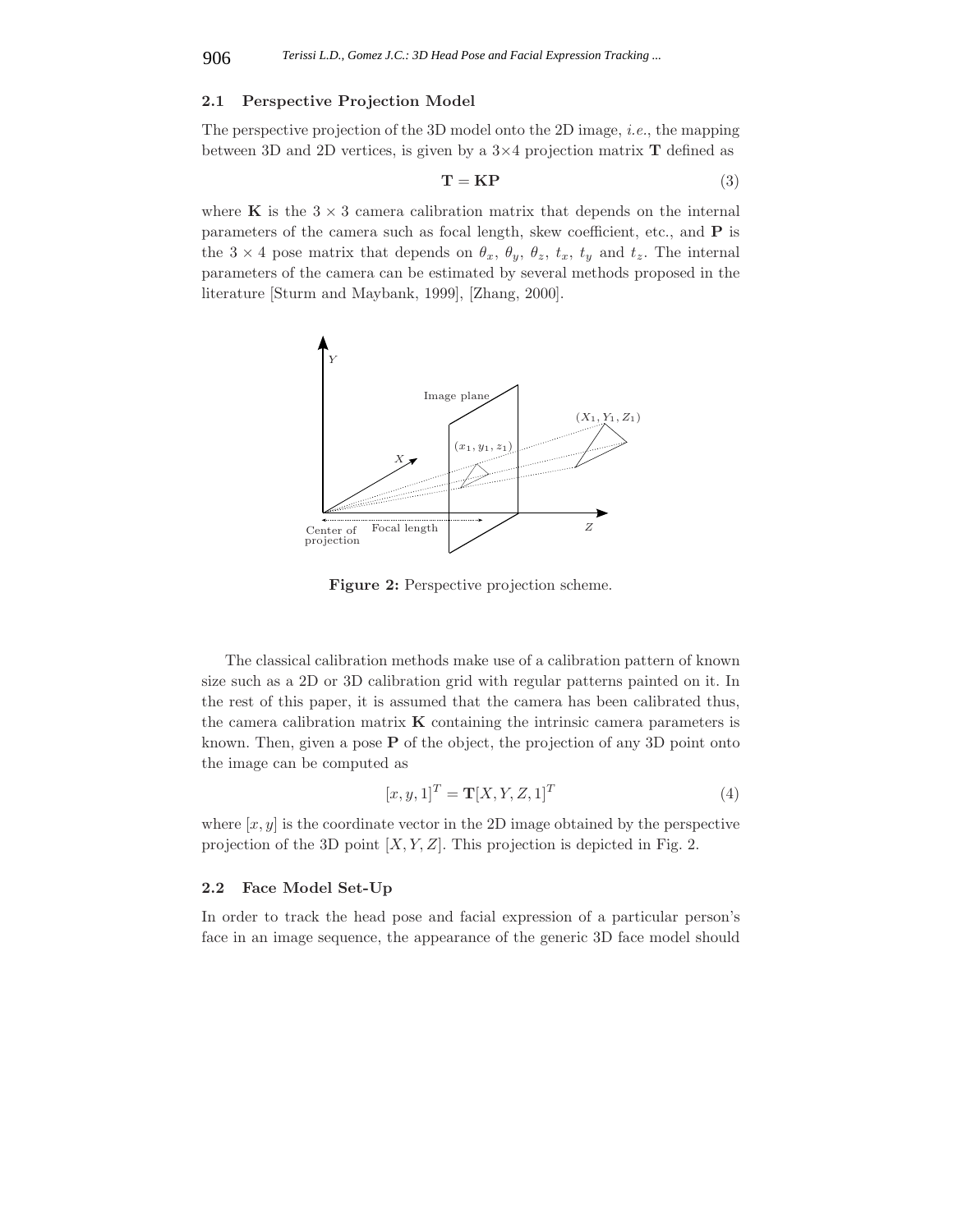#### **2.1 Perspective Projection Model**

The perspective projection of the 3D model onto the 2D image, *i.e.*, the mapping between 3D and 2D vertices, is given by a 3×4 projection matrix **T** defined as

$$
\mathbf{T} = \mathbf{KP} \tag{3}
$$

where **K** is the  $3 \times 3$  camera calibration matrix that depends on the internal parameters of the camera such as focal length, skew coefficient, etc., and **P** is the  $3 \times 4$  pose matrix that depends on  $\theta_x$ ,  $\theta_y$ ,  $\theta_z$ ,  $t_x$ ,  $t_y$  and  $t_z$ . The internal parameters of the camera can be estimated by several methods proposed in the literature [Sturm and Maybank, 1999], [Zhang, 2000].



**Figure 2:** Perspective projection scheme.

The classical calibration methods make use of a calibration pattern of known size such as a 2D or 3D calibration grid with regular patterns painted on it. In the rest of this paper, it is assumed that the camera has been calibrated thus, the camera calibration matrix **K** containing the intrinsic camera parameters is known. Then, given a pose **P** of the object, the projection of any 3D point onto the image can be computed as

$$
[x, y, 1]^T = \mathbf{T}[X, Y, Z, 1]^T
$$
\n
$$
(4)
$$

where  $[x, y]$  is the coordinate vector in the 2D image obtained by the perspective projection of the 3D point  $[X, Y, Z]$ . This projection is depicted in Fig. 2.

## **2.2 Face Model Set-Up**

In order to track the head pose and facial expression of a particular person's face in an image sequence, the appearance of the generic 3D face model should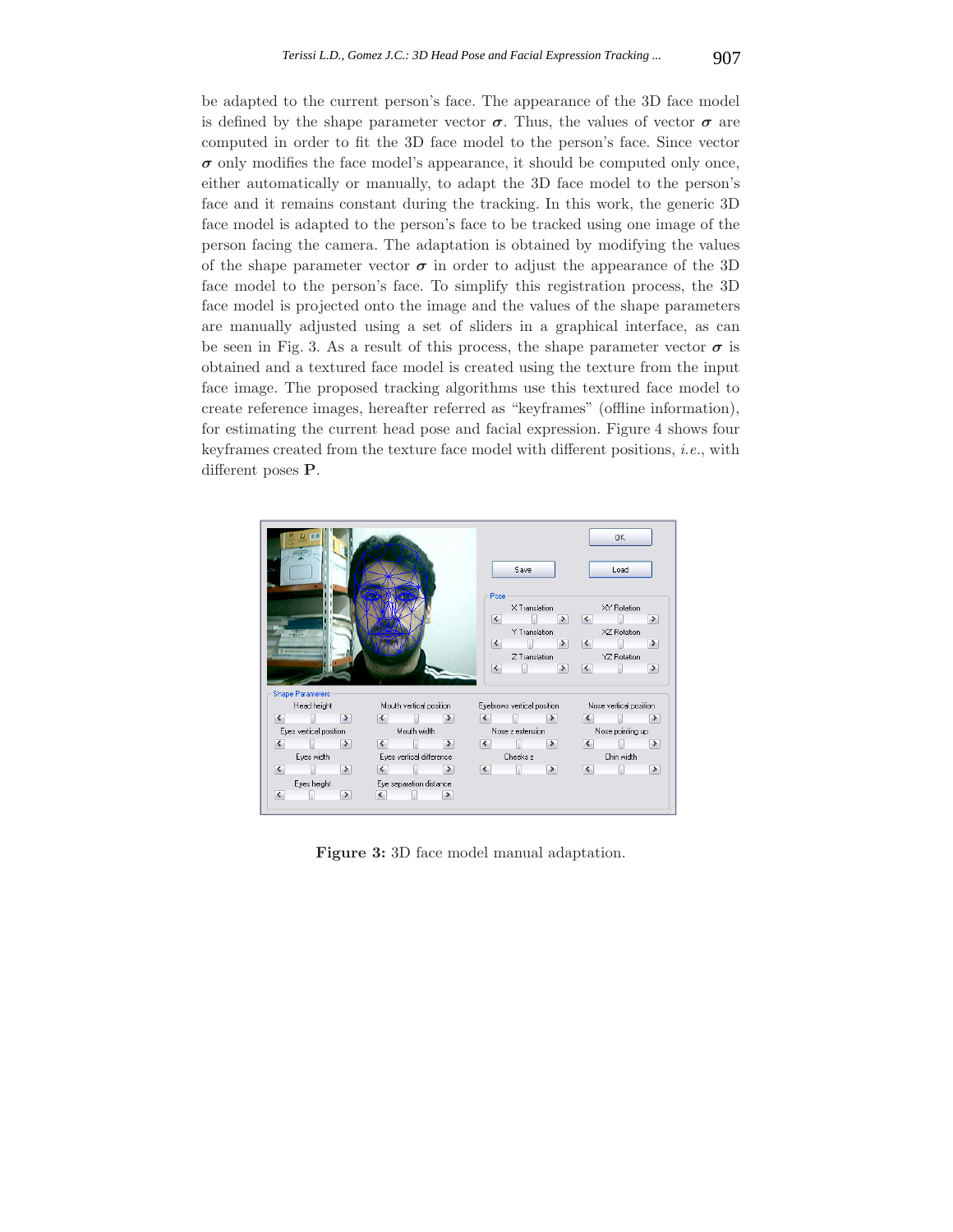be adapted to the current person's face. The appearance of the 3D face model is defined by the shape parameter vector  $\sigma$ . Thus, the values of vector  $\sigma$  are computed in order to fit the 3D face model to the person's face. Since vector  $\sigma$  only modifies the face model's appearance, it should be computed only once, either automatically or manually, to adapt the 3D face model to the person's face and it remains constant during the tracking. In this work, the generic 3D face model is adapted to the person's face to be tracked using one image of the person facing the camera. The adaptation is obtained by modifying the values of the shape parameter vector  $\sigma$  in order to adjust the appearance of the 3D face model to the person's face. To simplify this registration process, the 3D face model is projected onto the image and the values of the shape parameters are manually adjusted using a set of sliders in a graphical interface, as can be seen in Fig. 3. As a result of this process, the shape parameter vector  $\sigma$  is obtained and a textured face model is created using the texture from the input face image. The proposed tracking algorithms use this textured face model to create reference images, hereafter referred as "keyframes" (offline information), for estimating the current head pose and facial expression. Figure 4 shows four keyframes created from the texture face model with different positions, *i.e.*, with different poses **P**.



**Figure 3:** 3D face model manual adaptation.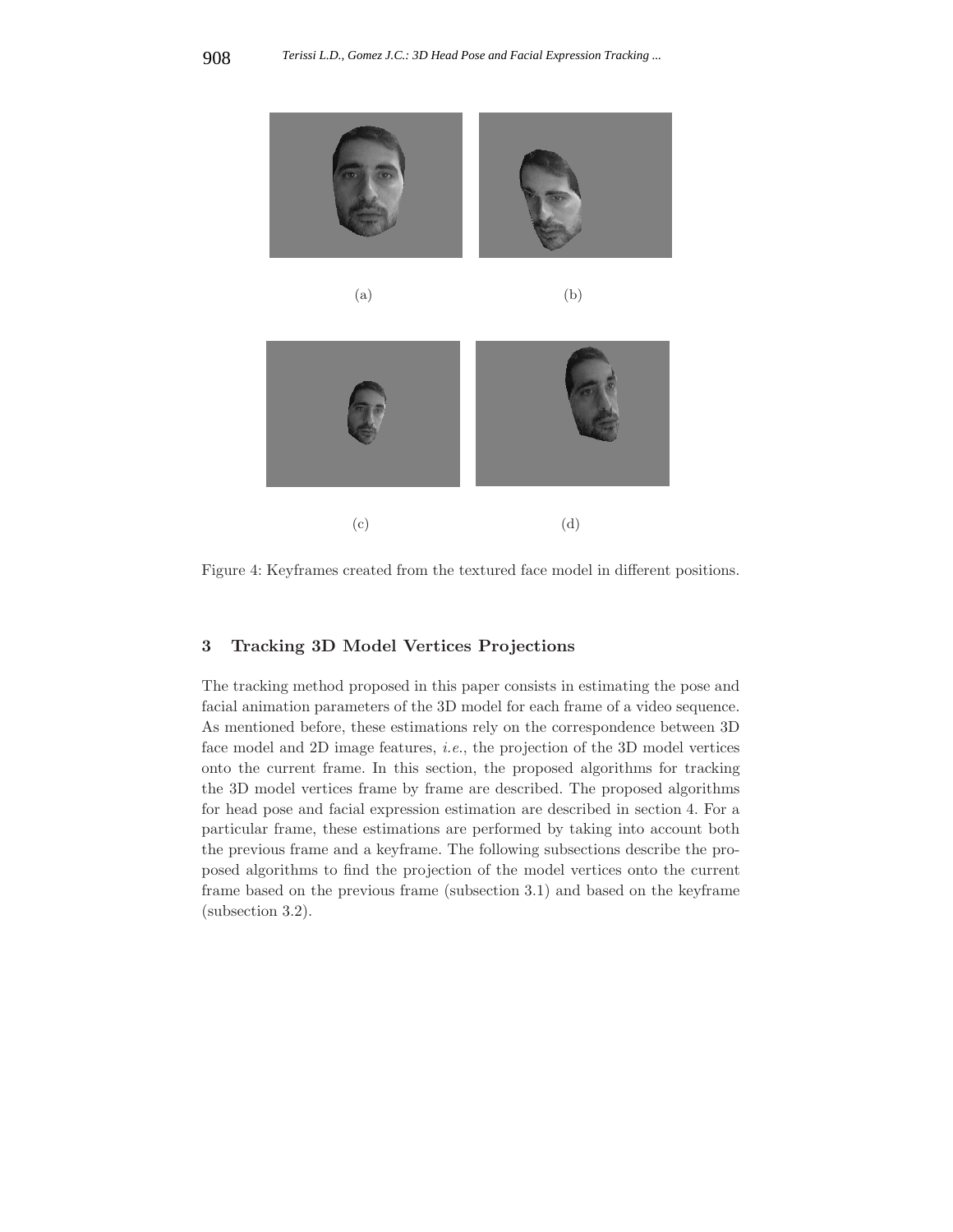







Figure 4: Keyframes created from the textured face model in different positions.

 $\qquad \qquad \textbf{(c)}\qquad \qquad \textbf{(d)}$ 

## **3 Tracking 3D Model Vertices Projections**

The tracking method proposed in this paper consists in estimating the pose and facial animation parameters of the 3D model for each frame of a video sequence. As mentioned before, these estimations rely on the correspondence between 3D face model and 2D image features, *i.e.*, the projection of the 3D model vertices onto the current frame. In this section, the proposed algorithms for tracking the 3D model vertices frame by frame are described. The proposed algorithms for head pose and facial expression estimation are described in section 4. For a particular frame, these estimations are performed by taking into account both the previous frame and a keyframe. The following subsections describe the proposed algorithms to find the projection of the model vertices onto the current frame based on the previous frame (subsection 3.1) and based on the keyframe (subsection 3.2).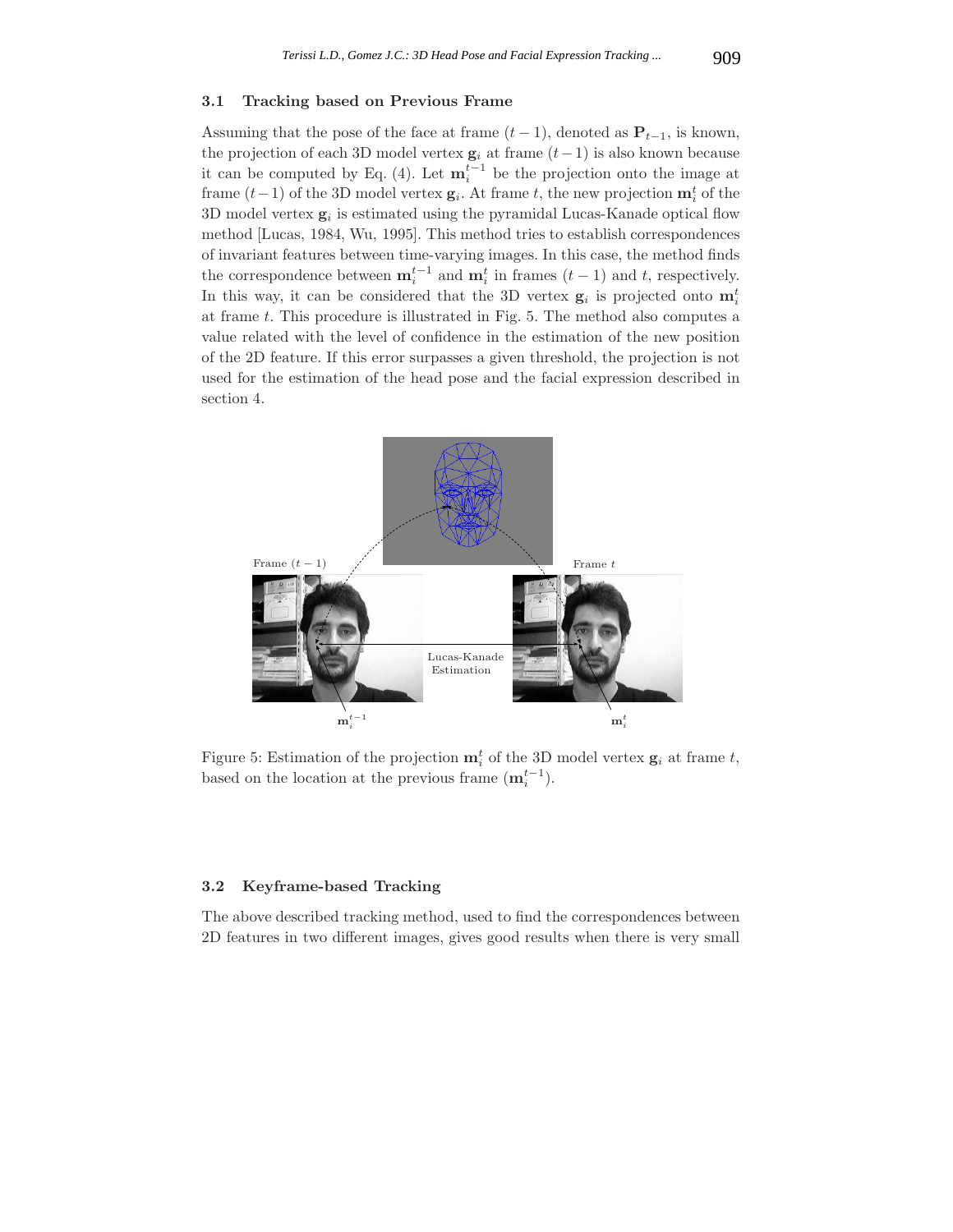#### **3.1 Tracking based on Previous Frame**

Assuming that the pose of the face at frame  $(t-1)$ , denoted as  $P_{t-1}$ , is known, the projection of each 3D model vertex  $g_i$  at frame  $(t-1)$  is also known because it can be computed by Eq. (4). Let  $\mathbf{m}_i^{t-1}$  be the projection onto the image at frame  $(t-1)$  of the 3D model vertex  $\mathbf{g}_i$ . At frame t, the new projection  $\mathbf{m}_i^t$  of the 3D model vertex  $g_i$  is estimated using the pyramidal Lucas-Kanade optical flow method [Lucas, 1984, Wu, 1995]. This method tries to establish correspondences of invariant features between time-varying images. In this case, the method finds the correspondence between  $\mathbf{m}_i^{t-1}$  and  $\mathbf{m}_i^t$  in frames  $(t-1)$  and  $t$ , respectively. In this way, it can be considered that the 3D vertex  $g_i$  is projected onto  $m_i^t$ at frame t. This procedure is illustrated in Fig. 5. The method also computes a value related with the level of confidence in the estimation of the new position of the 2D feature. If this error surpasses a given threshold, the projection is not used for the estimation of the head pose and the facial expression described in section 4.



Figure 5: Estimation of the projection  $\mathbf{m}_i^t$  of the 3D model vertex  $\mathbf{g}_i$  at frame t, based on the location at the previous frame  $(\mathbf{m}_i^{t-1})$ .

#### **3.2 Keyframe-based Tracking**

The above described tracking method, used to find the correspondences between 2D features in two different images, gives good results when there is very small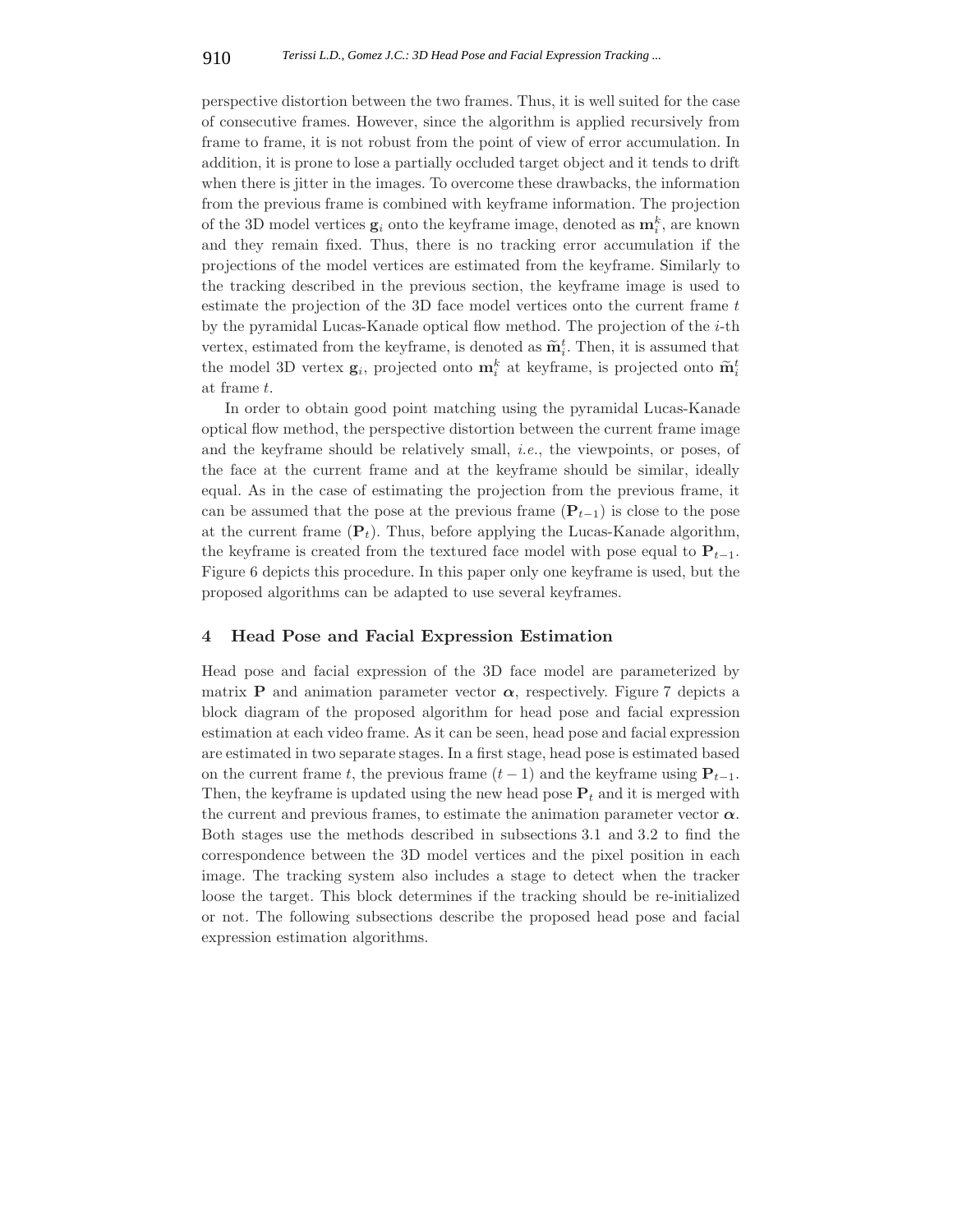perspective distortion between the two frames. Thus, it is well suited for the case of consecutive frames. However, since the algorithm is applied recursively from frame to frame, it is not robust from the point of view of error accumulation. In addition, it is prone to lose a partially occluded target object and it tends to drift when there is jitter in the images. To overcome these drawbacks, the information from the previous frame is combined with keyframe information. The projection of the 3D model vertices  $\mathbf{g}_i$  onto the keyframe image, denoted as  $\mathbf{m}_i^k$ , are known and they remain fixed. Thus, there is no tracking error accumulation if the projections of the model vertices are estimated from the keyframe. Similarly to the tracking described in the previous section, the keyframe image is used to estimate the projection of the 3D face model vertices onto the current frame t by the pyramidal Lucas-Kanade optical flow method. The projection of the  $i$ -th vertex, estimated from the keyframe, is denoted as  $\widetilde{\mathbf{m}}_i^t$ . Then, it is assumed that the model 3D vertex  $\mathbf{g}_i$ , projected onto  $\mathbf{m}_i^k$  at keyframe, is projected onto  $\widetilde{\mathbf{m}}_i^t$ at frame t.

In order to obtain good point matching using the pyramidal Lucas-Kanade optical flow method, the perspective distortion between the current frame image and the keyframe should be relatively small, *i.e.*, the viewpoints, or poses, of the face at the current frame and at the keyframe should be similar, ideally equal. As in the case of estimating the projection from the previous frame, it can be assumed that the pose at the previous frame  $(\mathbf{P}_{t-1})$  is close to the pose at the current frame  $(\mathbf{P}_t)$ . Thus, before applying the Lucas-Kanade algorithm, the keyframe is created from the textured face model with pose equal to  $P_{t-1}$ . Figure 6 depicts this procedure. In this paper only one keyframe is used, but the proposed algorithms can be adapted to use several keyframes.

#### **4 Head Pose and Facial Expression Estimation**

Head pose and facial expression of the 3D face model are parameterized by matrix **P** and animation parameter vector  $\alpha$ , respectively. Figure 7 depicts a block diagram of the proposed algorithm for head pose and facial expression estimation at each video frame. As it can be seen, head pose and facial expression are estimated in two separate stages. In a first stage, head pose is estimated based on the current frame t, the previous frame  $(t - 1)$  and the keyframe using  $P_{t-1}$ . Then, the keyframe is updated using the new head pose  $P_t$  and it is merged with the current and previous frames, to estimate the animation parameter vector  $\alpha$ . Both stages use the methods described in subsections 3.1 and 3.2 to find the correspondence between the 3D model vertices and the pixel position in each image. The tracking system also includes a stage to detect when the tracker loose the target. This block determines if the tracking should be re-initialized or not. The following subsections describe the proposed head pose and facial expression estimation algorithms.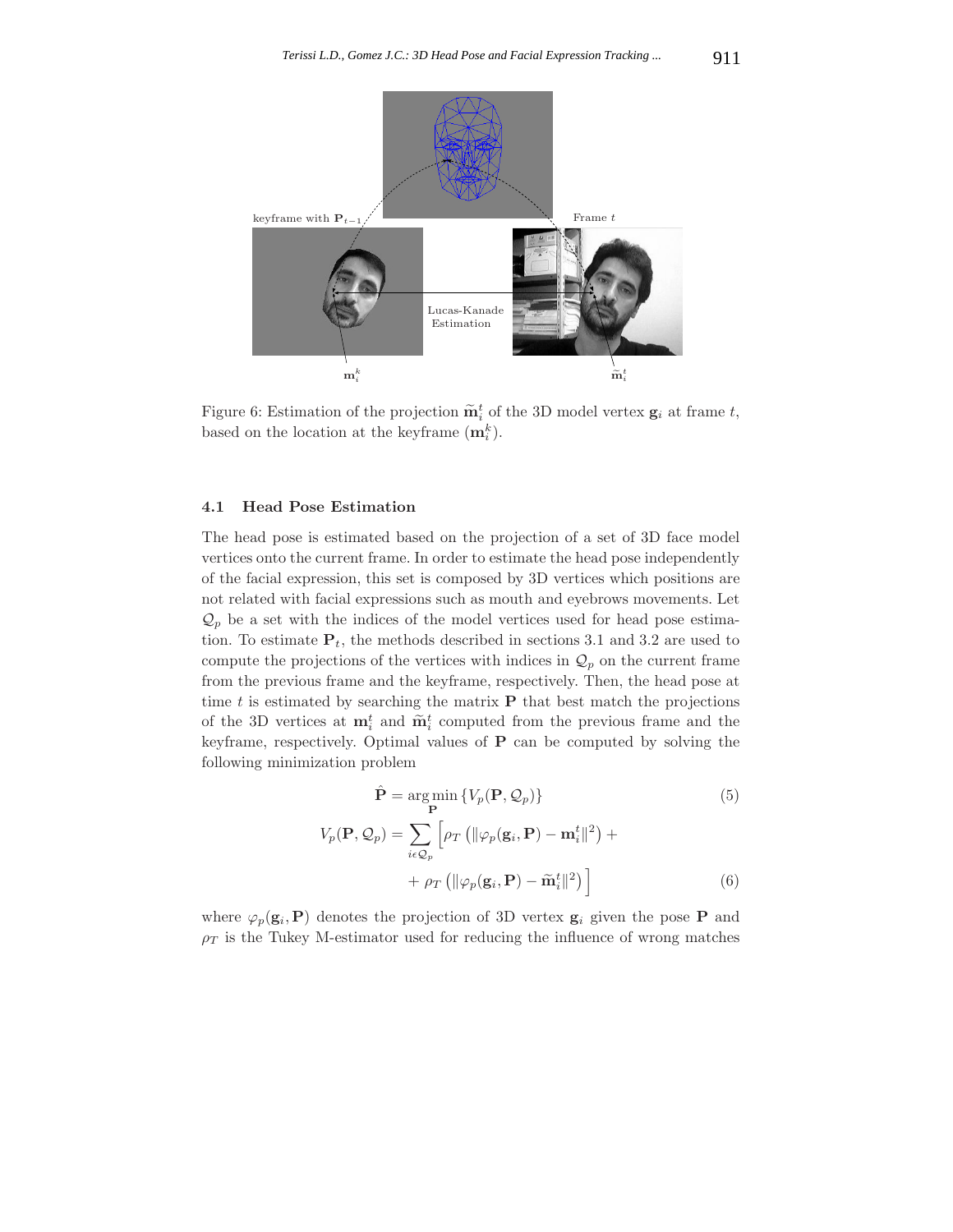

Figure 6: Estimation of the projection  $\widetilde{\mathbf{m}}_i^t$  of the 3D model vertex  $\mathbf{g}_i$  at frame t, based on the location at the keyframe  $(\mathbf{m}_i^k)$ .

#### **4.1 Head Pose Estimation**

The head pose is estimated based on the projection of a set of 3D face model vertices onto the current frame. In order to estimate the head pose independently of the facial expression, this set is composed by 3D vertices which positions are not related with facial expressions such as mouth and eyebrows movements. Let  $\mathcal{Q}_p$  be a set with the indices of the model vertices used for head pose estimation. To estimate  $P_t$ , the methods described in sections 3.1 and 3.2 are used to compute the projections of the vertices with indices in  $\mathcal{Q}_p$  on the current frame from the previous frame and the keyframe, respectively. Then, the head pose at time t is estimated by searching the matrix  $P$  that best match the projections of the 3D vertices at  $\mathbf{m}_i^t$  and  $\widetilde{\mathbf{m}}_i^t$  computed from the previous frame and the keyframe, respectively. Optimal values of **P** can be computed by solving the following minimization problem

$$
\hat{\mathbf{P}} = \underset{\mathbf{P}}{\arg \min} \left\{ V_p(\mathbf{P}, \mathcal{Q}_p) \right\} \tag{5}
$$
\n
$$
V_p(\mathbf{P}, \mathcal{Q}_p) = \sum_{i \in \mathcal{Q}_p} \left[ \rho_T \left( \| \varphi_p(\mathbf{g}_i, \mathbf{P}) - \mathbf{m}_i^t \|^2 \right) + \right. \\
\left. + \rho_T \left( \| \varphi_p(\mathbf{g}_i, \mathbf{P}) - \tilde{\mathbf{m}}_i^t \|^2 \right) \right] \tag{6}
$$

where  $\varphi_p(\mathbf{g}_i, \mathbf{P})$  denotes the projection of 3D vertex  $\mathbf{g}_i$  given the pose **P** and  $\rho_T$  is the Tukey M-estimator used for reducing the influence of wrong matches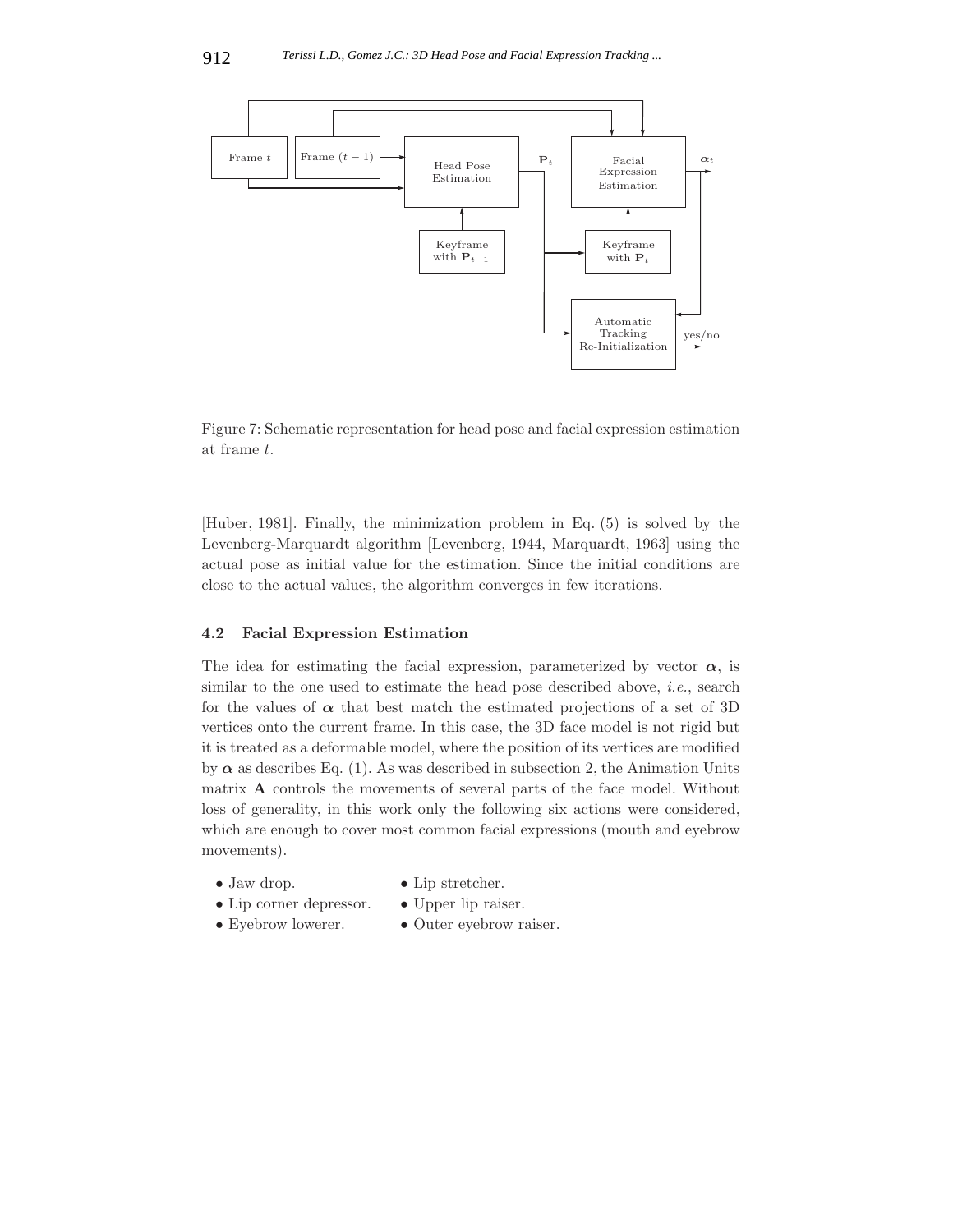

Figure 7: Schematic representation for head pose and facial expression estimation at frame t.

[Huber, 1981]. Finally, the minimization problem in Eq. (5) is solved by the Levenberg-Marquardt algorithm [Levenberg, 1944, Marquardt, 1963] using the actual pose as initial value for the estimation. Since the initial conditions are close to the actual values, the algorithm converges in few iterations.

## **4.2 Facial Expression Estimation**

The idea for estimating the facial expression, parameterized by vector  $\alpha$ , is similar to the one used to estimate the head pose described above, *i.e.*, search for the values of  $\alpha$  that best match the estimated projections of a set of 3D vertices onto the current frame. In this case, the 3D face model is not rigid but it is treated as a deformable model, where the position of its vertices are modified by  $\alpha$  as describes Eq. (1). As was described in subsection 2, the Animation Units matrix **A** controls the movements of several parts of the face model. Without loss of generality, in this work only the following six actions were considered, which are enough to cover most common facial expressions (mouth and eyebrow movements).

- 
- 
- Jaw drop. Lip stretcher.<br>• Lip corner depressor. Upper lip raiser. • Lip corner depressor.<br>• Eyebrow lowerer.
	-
	-
- 
- $\bullet$  Outer eyebrow raiser.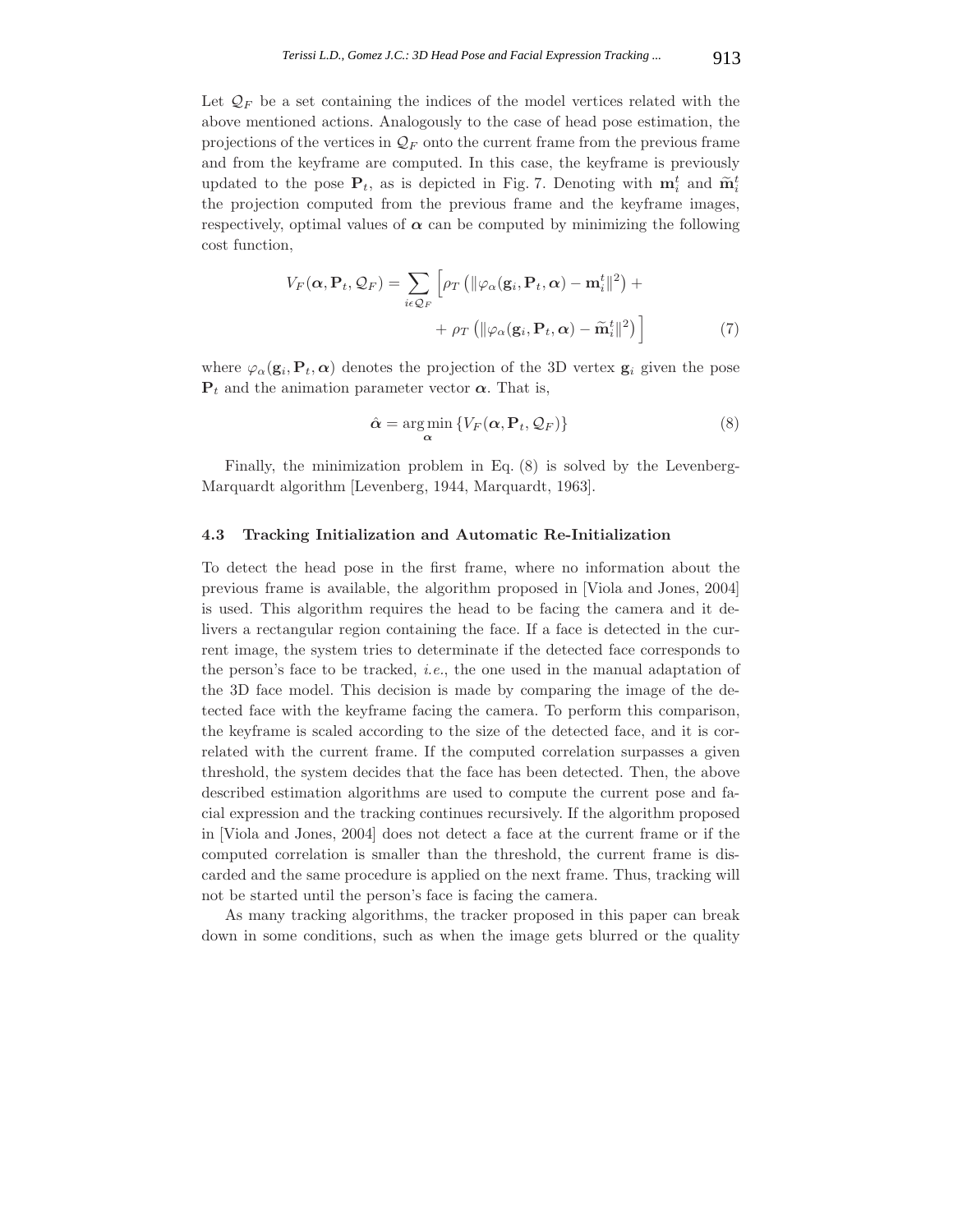Let  $\mathcal{Q}_F$  be a set containing the indices of the model vertices related with the above mentioned actions. Analogously to the case of head pose estimation, the projections of the vertices in  $\mathcal{Q}_F$  onto the current frame from the previous frame and from the keyframe are computed. In this case, the keyframe is previously updated to the pose  $P_t$ , as is depicted in Fig. 7. Denoting with  $m_i^t$  and  $\tilde{m}_i^t$ the projection computed from the previous frame and the keyframe images, respectively, optimal values of  $\alpha$  can be computed by minimizing the following cost function,

$$
V_F(\boldsymbol{\alpha}, \mathbf{P}_t, \mathcal{Q}_F) = \sum_{i \in \mathcal{Q}_F} \left[ \rho_T \left( \|\varphi_\alpha(\mathbf{g}_i, \mathbf{P}_t, \boldsymbol{\alpha}) - \mathbf{m}_i^t\|^2 \right) + \right. \\ \left. + \rho_T \left( \|\varphi_\alpha(\mathbf{g}_i, \mathbf{P}_t, \boldsymbol{\alpha}) - \widetilde{\mathbf{m}}_i^t\|^2 \right) \right] \tag{7}
$$

where  $\varphi_{\alpha}(\mathbf{g}_i, \mathbf{P}_t, \alpha)$  denotes the projection of the 3D vertex  $\mathbf{g}_i$  given the pose  $P_t$  and the animation parameter vector  $\alpha$ . That is,

$$
\hat{\alpha} = \underset{\alpha}{\arg\min} \{ V_F(\alpha, \mathbf{P}_t, \mathcal{Q}_F) \}
$$
\n(8)

Finally, the minimization problem in Eq. (8) is solved by the Levenberg-Marquardt algorithm [Levenberg, 1944, Marquardt, 1963].

#### **4.3 Tracking Initialization and Automatic Re-Initialization**

To detect the head pose in the first frame, where no information about the previous frame is available, the algorithm proposed in [Viola and Jones, 2004] is used. This algorithm requires the head to be facing the camera and it delivers a rectangular region containing the face. If a face is detected in the current image, the system tries to determinate if the detected face corresponds to the person's face to be tracked, *i.e.*, the one used in the manual adaptation of the 3D face model. This decision is made by comparing the image of the detected face with the keyframe facing the camera. To perform this comparison, the keyframe is scaled according to the size of the detected face, and it is correlated with the current frame. If the computed correlation surpasses a given threshold, the system decides that the face has been detected. Then, the above described estimation algorithms are used to compute the current pose and facial expression and the tracking continues recursively. If the algorithm proposed in [Viola and Jones, 2004] does not detect a face at the current frame or if the computed correlation is smaller than the threshold, the current frame is discarded and the same procedure is applied on the next frame. Thus, tracking will not be started until the person's face is facing the camera.

As many tracking algorithms, the tracker proposed in this paper can break down in some conditions, such as when the image gets blurred or the quality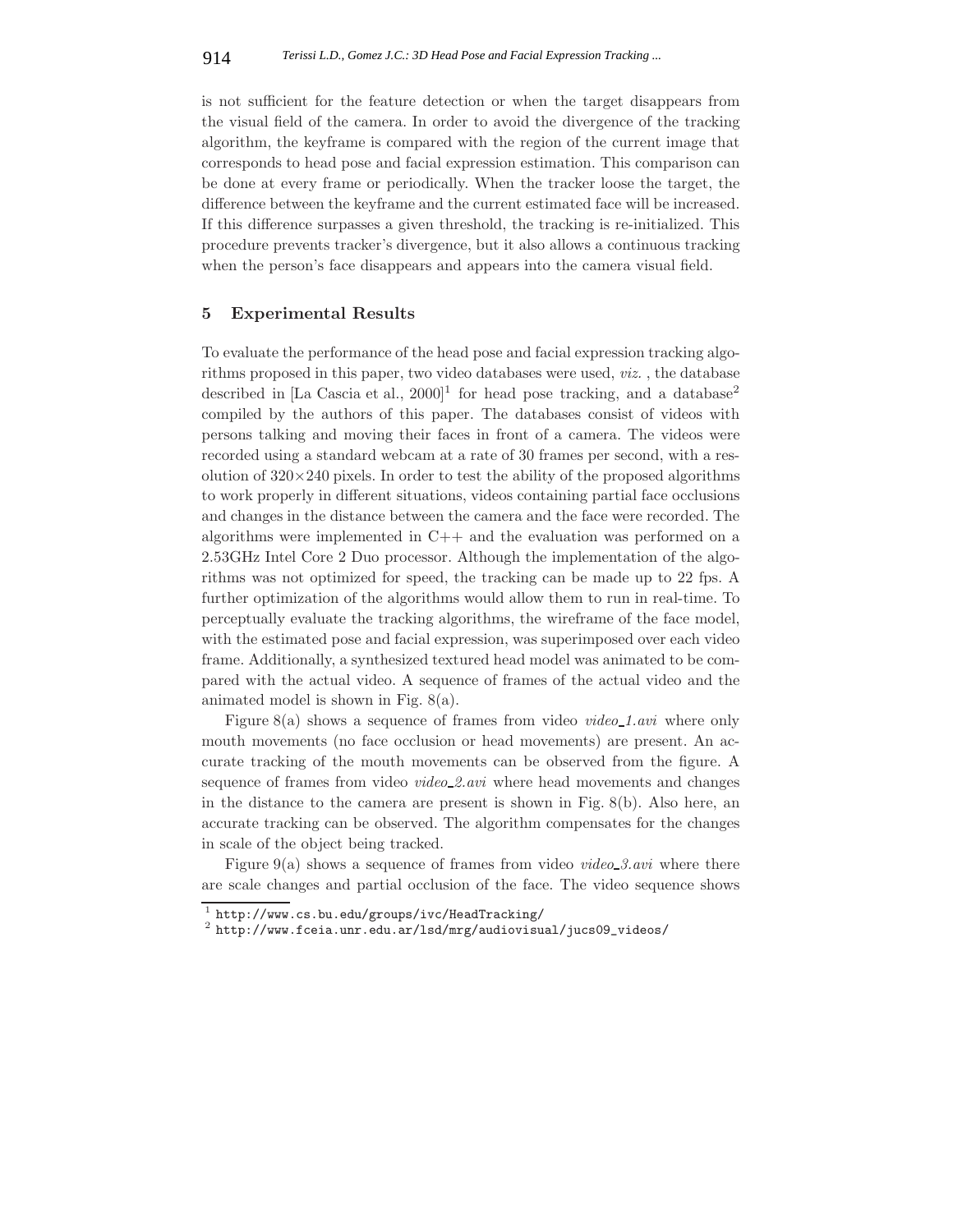is not sufficient for the feature detection or when the target disappears from the visual field of the camera. In order to avoid the divergence of the tracking algorithm, the keyframe is compared with the region of the current image that corresponds to head pose and facial expression estimation. This comparison can be done at every frame or periodically. When the tracker loose the target, the difference between the keyframe and the current estimated face will be increased. If this difference surpasses a given threshold, the tracking is re-initialized. This procedure prevents tracker's divergence, but it also allows a continuous tracking when the person's face disappears and appears into the camera visual field.

### **5 Experimental Results**

To evaluate the performance of the head pose and facial expression tracking algorithms proposed in this paper, two video databases were used, *viz.* , the database described in [La Cascia et al.,  $2000$ ]<sup>1</sup> for head pose tracking, and a database<sup>2</sup> compiled by the authors of this paper. The databases consist of videos with persons talking and moving their faces in front of a camera. The videos were recorded using a standard webcam at a rate of 30 frames per second, with a resolution of  $320\times240$  pixels. In order to test the ability of the proposed algorithms to work properly in different situations, videos containing partial face occlusions and changes in the distance between the camera and the face were recorded. The algorithms were implemented in C++ and the evaluation was performed on a 2.53GHz Intel Core 2 Duo processor. Although the implementation of the algorithms was not optimized for speed, the tracking can be made up to 22 fps. A further optimization of the algorithms would allow them to run in real-time. To perceptually evaluate the tracking algorithms, the wireframe of the face model, with the estimated pose and facial expression, was superimposed over each video frame. Additionally, a synthesized textured head model was animated to be compared with the actual video. A sequence of frames of the actual video and the animated model is shown in Fig. 8(a).

Figure 8(a) shows a sequence of frames from video *video 1.avi* where only mouth movements (no face occlusion or head movements) are present. An accurate tracking of the mouth movements can be observed from the figure. A sequence of frames from video *video 2.avi* where head movements and changes in the distance to the camera are present is shown in Fig. 8(b). Also here, an accurate tracking can be observed. The algorithm compensates for the changes in scale of the object being tracked.

Figure 9(a) shows a sequence of frames from video *video 3.avi* where there are scale changes and partial occlusion of the face. The video sequence shows

 $^{\rm 1}$ http://www.cs.bu.edu/groups/ivc/HeadTracking/ $^{\rm 2}$ http://www.fceia.unr.edu.ar/lsd/mrg/audiovisual/jucs09\_videos/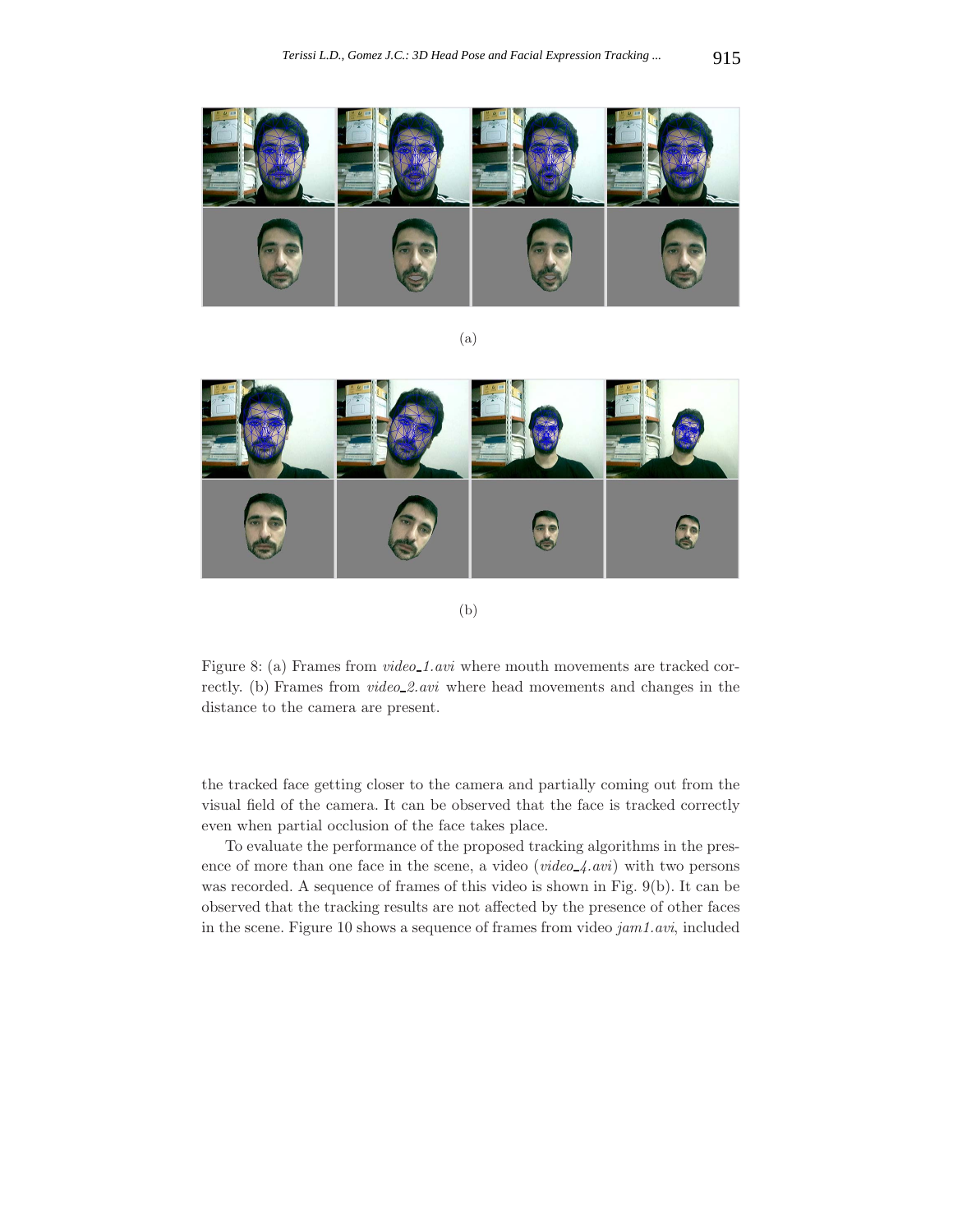

(a)

Fe

(b)

Figure 8: (a) Frames from  $video\_1.avi$  where mouth movements are tracked correctly. (b) Frames from *video 2.avi* where head movements and changes in the distance to the camera are present.

the tracked face getting closer to the camera and partially coming out from the visual field of the camera. It can be observed that the face is tracked correctly even when partial occlusion of the face takes place.

To evaluate the performance of the proposed tracking algorithms in the presence of more than one face in the scene, a video (*video 4.avi*) with two persons was recorded. A sequence of frames of this video is shown in Fig. 9(b). It can be observed that the tracking results are not affected by the presence of other faces in the scene. Figure 10 shows a sequence of frames from video *jam1.avi*, included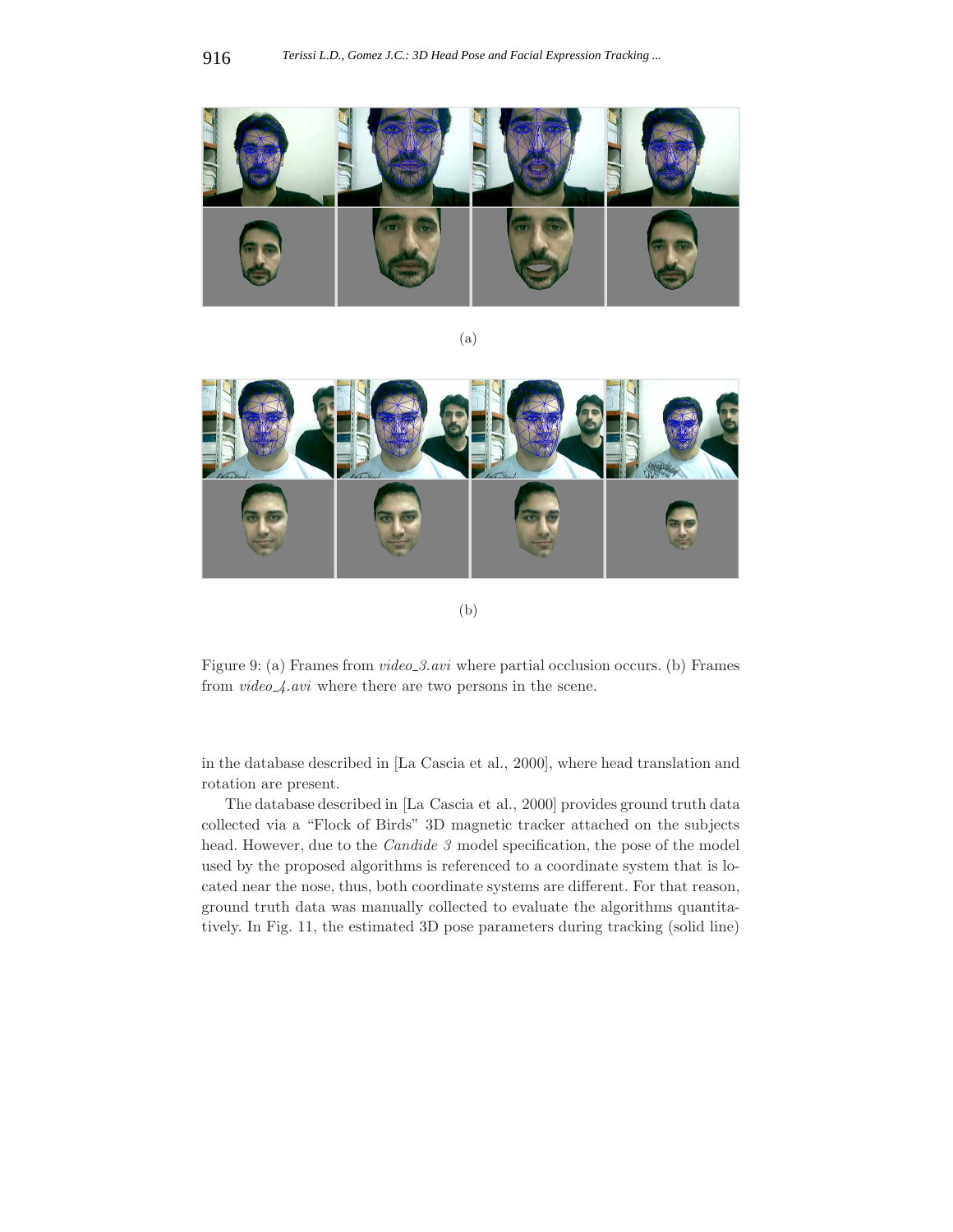

(a)



(b)

Figure 9: (a) Frames from *video 3.avi* where partial occlusion occurs. (b) Frames from *video 4.avi* where there are two persons in the scene.

in the database described in [La Cascia et al., 2000], where head translation and rotation are present.

The database described in [La Cascia et al., 2000] provides ground truth data collected via a "Flock of Birds" 3D magnetic tracker attached on the subjects head. However, due to the *Candide 3* model specification, the pose of the model used by the proposed algorithms is referenced to a coordinate system that is located near the nose, thus, both coordinate systems are different. For that reason, ground truth data was manually collected to evaluate the algorithms quantitatively. In Fig. 11, the estimated 3D pose parameters during tracking (solid line)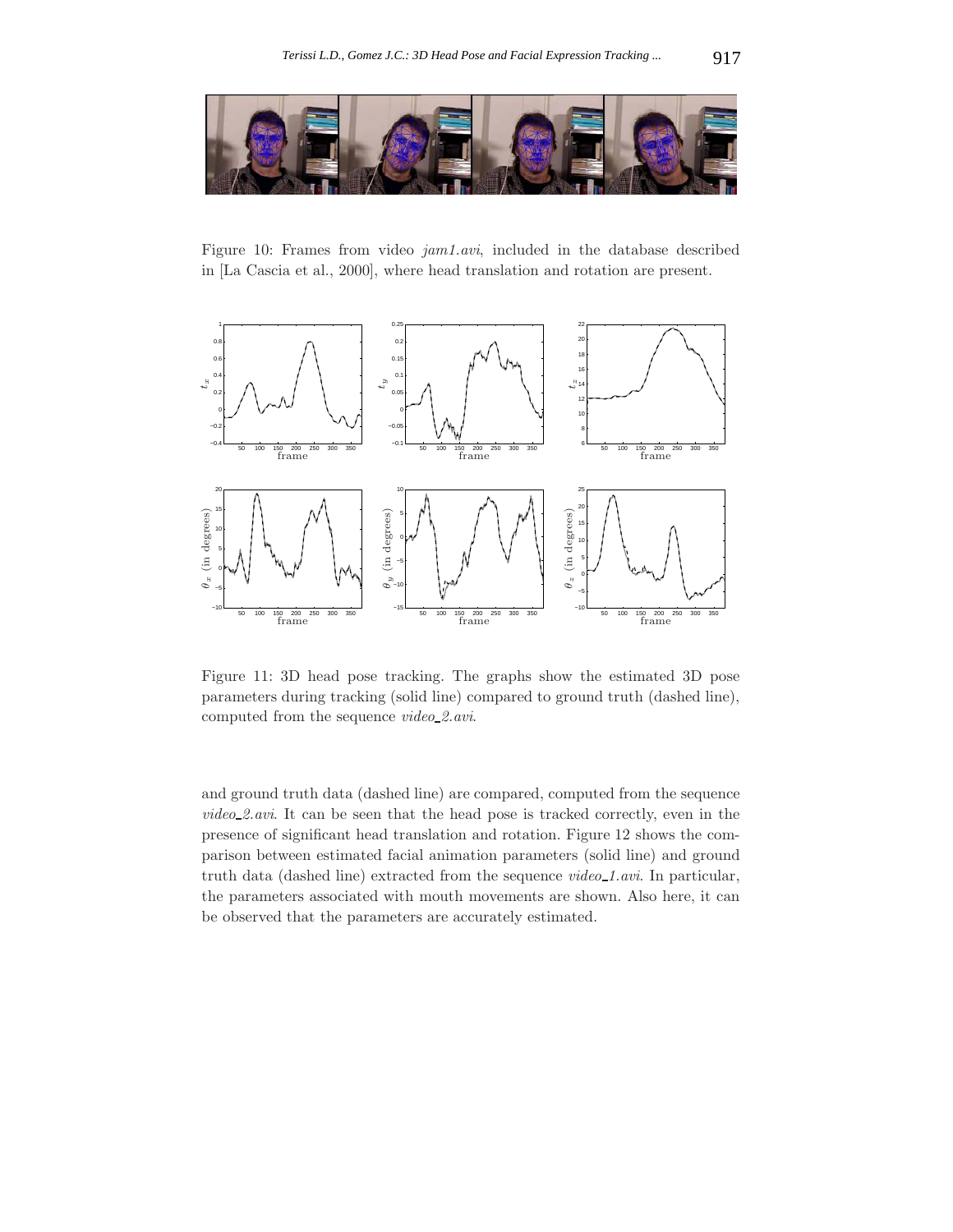

Figure 10: Frames from video *jam1.avi*, included in the database described in [La Cascia et al., 2000], where head translation and rotation are present.



Figure 11: 3D head pose tracking. The graphs show the estimated 3D pose parameters during tracking (solid line) compared to ground truth (dashed line), computed from the sequence *video 2.avi*.

and ground truth data (dashed line) are compared, computed from the sequence *video 2.avi*. It can be seen that the head pose is tracked correctly, even in the presence of significant head translation and rotation. Figure 12 shows the comparison between estimated facial animation parameters (solid line) and ground truth data (dashed line) extracted from the sequence *video* 1.*avi*. In particular, the parameters associated with mouth movements are shown. Also here, it can be observed that the parameters are accurately estimated.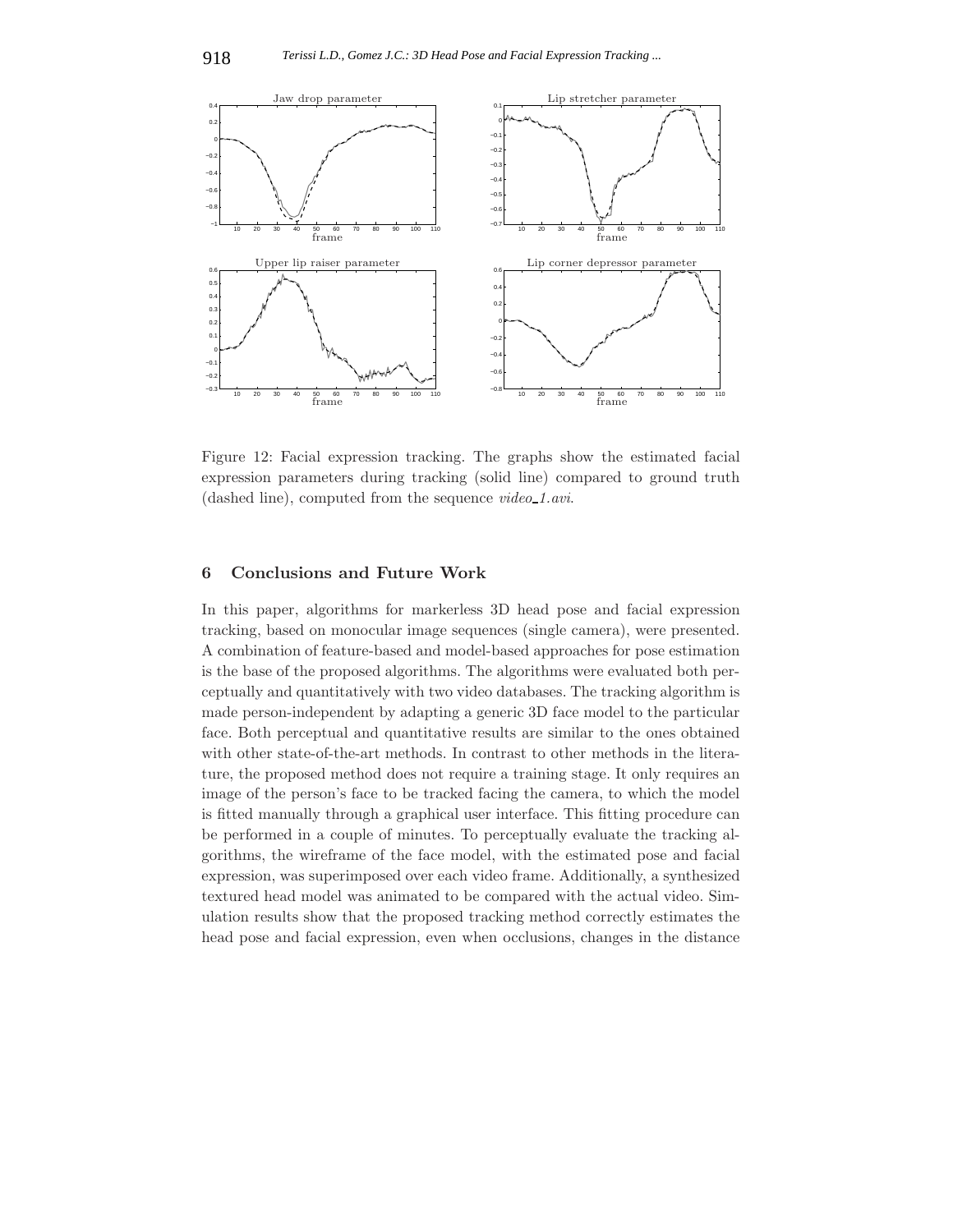

Figure 12: Facial expression tracking. The graphs show the estimated facial expression parameters during tracking (solid line) compared to ground truth (dashed line), computed from the sequence *video 1.avi*.

## **6 Conclusions and Future Work**

In this paper, algorithms for markerless 3D head pose and facial expression tracking, based on monocular image sequences (single camera), were presented. A combination of feature-based and model-based approaches for pose estimation is the base of the proposed algorithms. The algorithms were evaluated both perceptually and quantitatively with two video databases. The tracking algorithm is made person-independent by adapting a generic 3D face model to the particular face. Both perceptual and quantitative results are similar to the ones obtained with other state-of-the-art methods. In contrast to other methods in the literature, the proposed method does not require a training stage. It only requires an image of the person's face to be tracked facing the camera, to which the model is fitted manually through a graphical user interface. This fitting procedure can be performed in a couple of minutes. To perceptually evaluate the tracking algorithms, the wireframe of the face model, with the estimated pose and facial expression, was superimposed over each video frame. Additionally, a synthesized textured head model was animated to be compared with the actual video. Simulation results show that the proposed tracking method correctly estimates the head pose and facial expression, even when occlusions, changes in the distance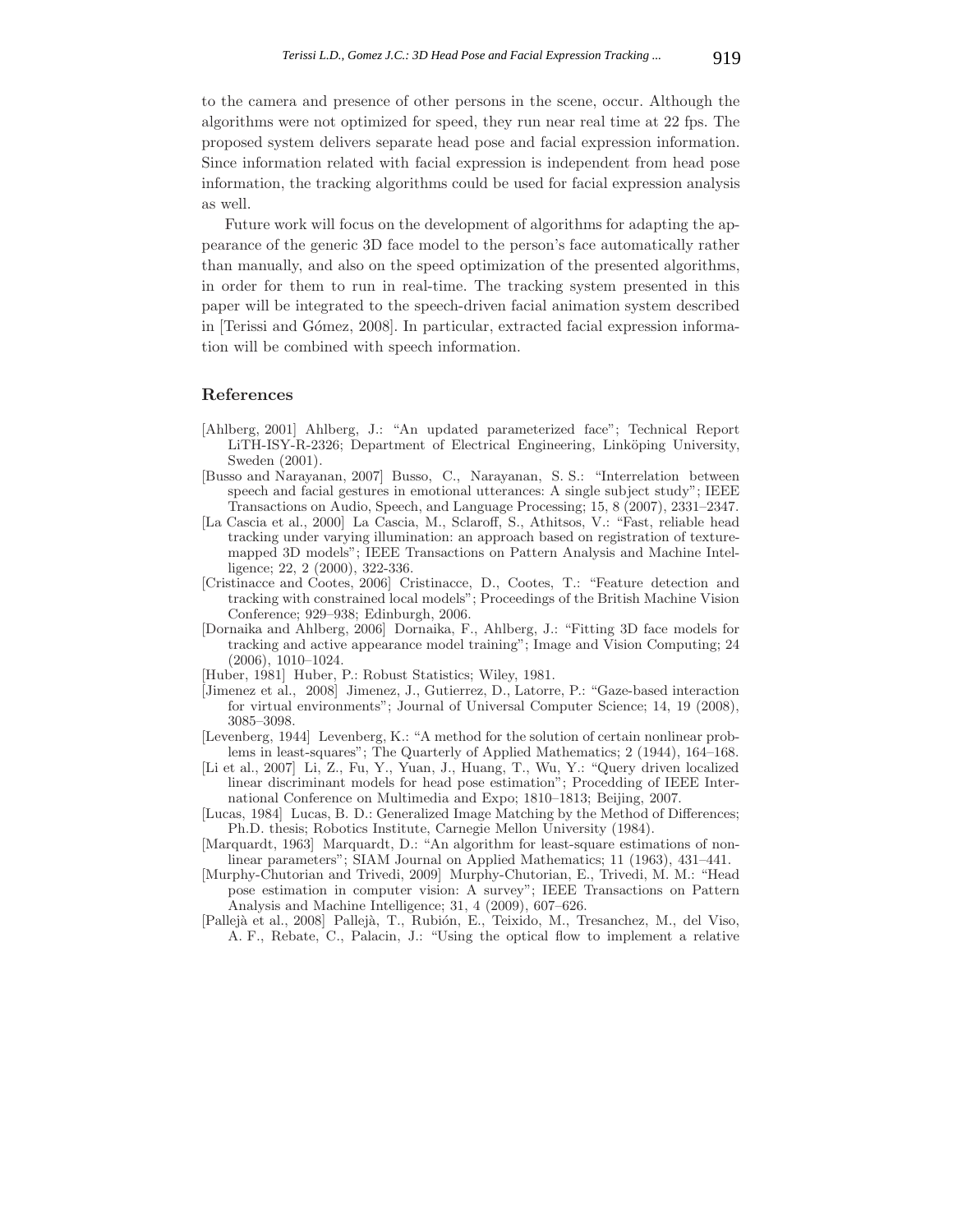to the camera and presence of other persons in the scene, occur. Although the algorithms were not optimized for speed, they run near real time at 22 fps. The proposed system delivers separate head pose and facial expression information. Since information related with facial expression is independent from head pose information, the tracking algorithms could be used for facial expression analysis as well.

Future work will focus on the development of algorithms for adapting the appearance of the generic 3D face model to the person's face automatically rather than manually, and also on the speed optimization of the presented algorithms, in order for them to run in real-time. The tracking system presented in this paper will be integrated to the speech-driven facial animation system described in [Terissi and Gómez, 2008]. In particular, extracted facial expression information will be combined with speech information.

#### **References**

- [Ahlberg, 2001] Ahlberg, J.: "An updated parameterized face"; Technical Report LiTH-ISY-R-2326; Department of Electrical Engineering, Linköping University, Sweden (2001).
- [Busso and Narayanan, 2007] Busso, C., Narayanan, S. S.: "Interrelation between speech and facial gestures in emotional utterances: A single subject study"; IEEE Transactions on Audio, Speech, and Language Processing; 15, 8 (2007), 2331–2347.
- [La Cascia et al., 2000] La Cascia, M., Sclaroff, S., Athitsos, V.: "Fast, reliable head tracking under varying illumination: an approach based on registration of texturemapped 3D models"; IEEE Transactions on Pattern Analysis and Machine Intelligence; 22, 2 (2000), 322-336.
- [Cristinacce and Cootes, 2006] Cristinacce, D., Cootes, T.: "Feature detection and tracking with constrained local models"; Proceedings of the British Machine Vision Conference; 929–938; Edinburgh, 2006.
- [Dornaika and Ahlberg, 2006] Dornaika, F., Ahlberg, J.: "Fitting 3D face models for tracking and active appearance model training"; Image and Vision Computing; 24 (2006), 1010–1024.
- [Huber, 1981] Huber, P.: Robust Statistics; Wiley, 1981.
- [Jimenez et al., 2008] Jimenez, J., Gutierrez, D., Latorre, P.: "Gaze-based interaction for virtual environments"; Journal of Universal Computer Science; 14, 19 (2008), 3085–3098.
- [Levenberg, 1944] Levenberg, K.: "A method for the solution of certain nonlinear problems in least-squares"; The Quarterly of Applied Mathematics; 2 (1944), 164–168.
- [Li et al., 2007] Li, Z., Fu, Y., Yuan, J., Huang, T., Wu, Y.: "Query driven localized linear discriminant models for head pose estimation"; Procedding of IEEE International Conference on Multimedia and Expo; 1810–1813; Beijing, 2007.
- [Lucas, 1984] Lucas, B. D.: Generalized Image Matching by the Method of Differences; Ph.D. thesis; Robotics Institute, Carnegie Mellon University (1984).
- [Marquardt, 1963] Marquardt, D.: "An algorithm for least-square estimations of nonlinear parameters"; SIAM Journal on Applied Mathematics; 11 (1963), 431–441.
- [Murphy-Chutorian and Trivedi, 2009] Murphy-Chutorian, E., Trivedi, M. M.: "Head pose estimation in computer vision: A survey"; IEEE Transactions on Pattern Analysis and Machine Intelligence; 31, 4 (2009), 607–626.
- [Pallejà et al., 2008] Pallejà, T., Rubión, E., Teixido, M., Tresanchez, M., del Viso, A. F., Rebate, C., Palacin, J.: "Using the optical flow to implement a relative